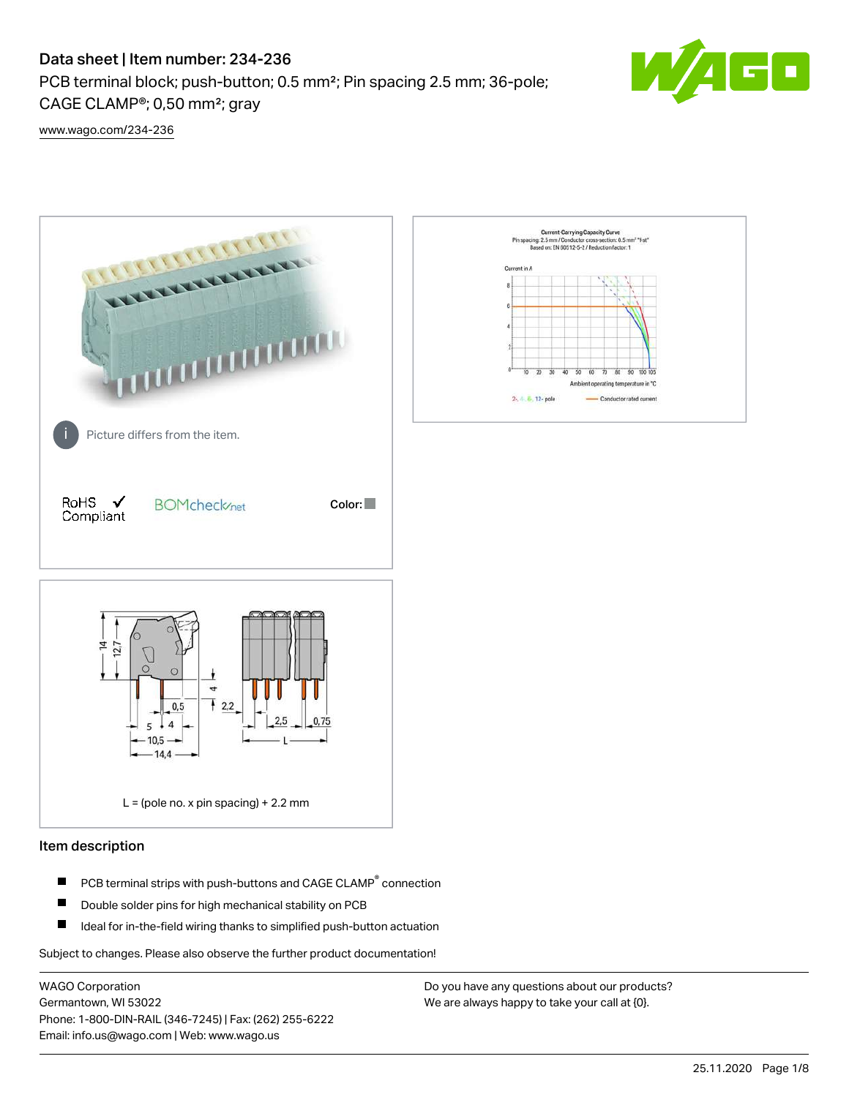# Data sheet | Item number: 234-236

PCB terminal block; push-button; 0.5 mm²; Pin spacing 2.5 mm; 36-pole; CAGE CLAMP®; 0,50 mm²; gray



[www.wago.com/234-236](http://www.wago.com/234-236)



## Item description

- PCB terminal strips with push-buttons and CAGE CLAMP<sup>®</sup> connection П
- П Double solder pins for high mechanical stability on PCB
- П Ideal for in-the-field wiring thanks to simplified push-button actuation

Subject to changes. Please also observe the further product documentation!

WAGO Corporation Germantown, WI 53022 Phone: 1-800-DIN-RAIL (346-7245) | Fax: (262) 255-6222 Email: info.us@wago.com | Web: www.wago.us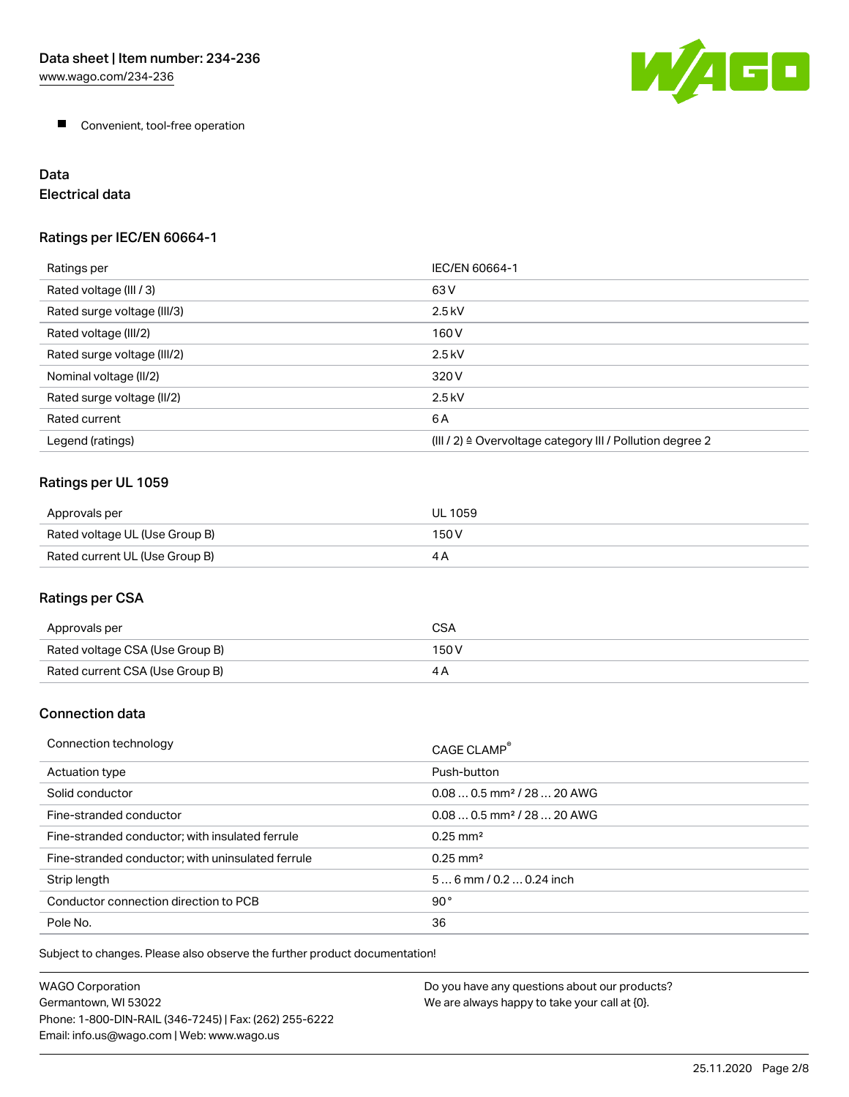

**Convenient, tool-free operation** 

# Data

Electrical data

## Ratings per IEC/EN 60664-1

| Ratings per                 | IEC/EN 60664-1                                                        |
|-----------------------------|-----------------------------------------------------------------------|
| Rated voltage (III / 3)     | 63 V                                                                  |
| Rated surge voltage (III/3) | $2.5$ kV                                                              |
| Rated voltage (III/2)       | 160 V                                                                 |
| Rated surge voltage (III/2) | $2.5$ kV                                                              |
| Nominal voltage (II/2)      | 320 V                                                                 |
| Rated surge voltage (II/2)  | $2.5$ kV                                                              |
| Rated current               | 6A                                                                    |
| Legend (ratings)            | $(III / 2)$ $\triangle$ Overvoltage category III / Pollution degree 2 |

## Ratings per UL 1059

| Approvals per                  | UL 1059 |
|--------------------------------|---------|
| Rated voltage UL (Use Group B) | 150 V   |
| Rated current UL (Use Group B) |         |

## Ratings per CSA

| Approvals per                   | CSA   |
|---------------------------------|-------|
| Rated voltage CSA (Use Group B) | 150 V |
| Rated current CSA (Use Group B) |       |

## Connection data

| Connection technology                             | CAGE CLAMP <sup>®</sup>                |
|---------------------------------------------------|----------------------------------------|
| Actuation type                                    | Push-button                            |
| Solid conductor                                   | $0.080.5$ mm <sup>2</sup> / 28  20 AWG |
| Fine-stranded conductor                           | $0.080.5$ mm <sup>2</sup> / 28  20 AWG |
| Fine-stranded conductor; with insulated ferrule   | $0.25 \text{ mm}^2$                    |
| Fine-stranded conductor; with uninsulated ferrule | $0.25 \text{ mm}^2$                    |
| Strip length                                      | $56$ mm $/ 0.20.24$ inch               |
| Conductor connection direction to PCB             | 90°                                    |
| Pole No.                                          | 36                                     |

Subject to changes. Please also observe the further product documentation!

| WAGO Corporation                                       | Do you have any questions about our products? |
|--------------------------------------------------------|-----------------------------------------------|
| Germantown. WI 53022                                   | We are always happy to take your call at {0}. |
| Phone: 1-800-DIN-RAIL (346-7245)   Fax: (262) 255-6222 |                                               |
| Email: info.us@wago.com   Web: www.wago.us             |                                               |
|                                                        |                                               |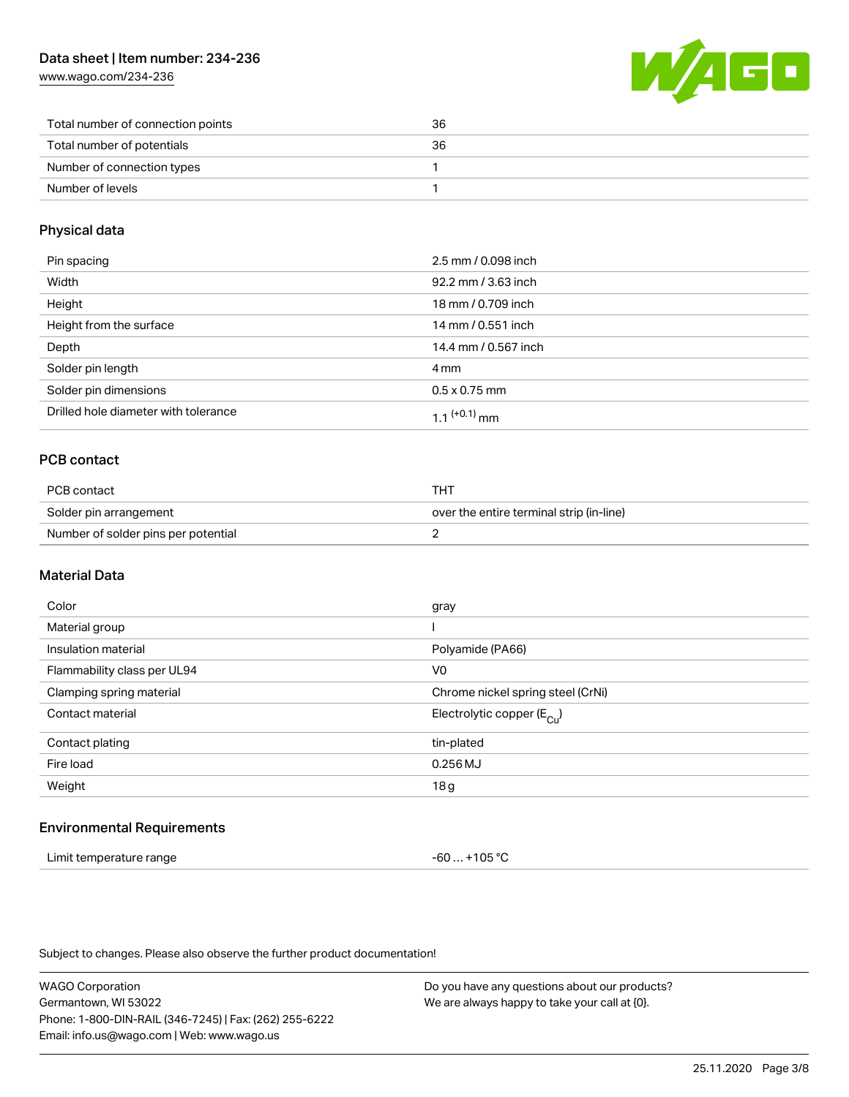## Data sheet | Item number: 234-236

[www.wago.com/234-236](http://www.wago.com/234-236)



| Total number of connection points | 36 |
|-----------------------------------|----|
| Total number of potentials        | 36 |
| Number of connection types        |    |
| Number of levels                  |    |

### Physical data

| Pin spacing                          | 2.5 mm / 0.098 inch  |
|--------------------------------------|----------------------|
| Width                                | 92.2 mm / 3.63 inch  |
| Height                               | 18 mm / 0.709 inch   |
| Height from the surface              | 14 mm / 0.551 inch   |
| Depth                                | 14.4 mm / 0.567 inch |
| Solder pin length                    | 4 mm                 |
| Solder pin dimensions                | $0.5 \times 0.75$ mm |
| Drilled hole diameter with tolerance | $11^{(+0.1)}$ mm     |

## PCB contact

| PCB contact                         | тнт                                      |  |
|-------------------------------------|------------------------------------------|--|
| Solder pin arrangement              | over the entire terminal strip (in-line) |  |
| Number of solder pins per potential |                                          |  |

## Material Data

| Color                       | gray                                  |
|-----------------------------|---------------------------------------|
| Material group              |                                       |
| Insulation material         | Polyamide (PA66)                      |
| Flammability class per UL94 | V <sub>0</sub>                        |
| Clamping spring material    | Chrome nickel spring steel (CrNi)     |
| Contact material            | Electrolytic copper $(E_{\text{Cl}})$ |
| Contact plating             | tin-plated                            |
| Fire load                   | $0.256$ MJ                            |
| Weight                      | 18g                                   |
|                             |                                       |

#### Environmental Requirements

| Limit temperature range | $-60+105 °C$ |
|-------------------------|--------------|
|-------------------------|--------------|

Subject to changes. Please also observe the further product documentation!

WAGO Corporation Germantown, WI 53022 Phone: 1-800-DIN-RAIL (346-7245) | Fax: (262) 255-6222 Email: info.us@wago.com | Web: www.wago.us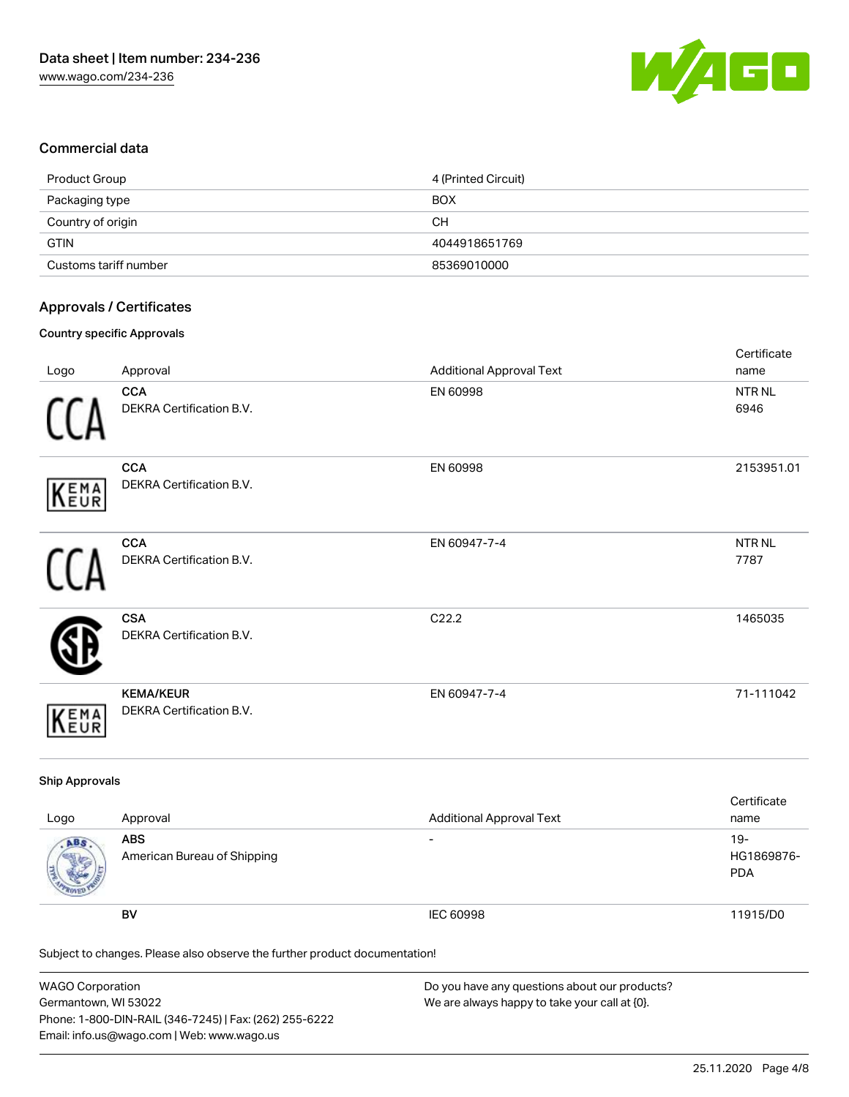

## Commercial data

| Product Group         | 4 (Printed Circuit) |
|-----------------------|---------------------|
| Packaging type        | <b>BOX</b>          |
| Country of origin     | CН                  |
| <b>GTIN</b>           | 4044918651769       |
| Customs tariff number | 85369010000         |

## Approvals / Certificates

#### Country specific Approvals

| Logo       | Approval                                      | <b>Additional Approval Text</b> | Certificate<br>name       |
|------------|-----------------------------------------------|---------------------------------|---------------------------|
|            | <b>CCA</b><br>DEKRA Certification B.V.        | EN 60998                        | NTR NL<br>6946            |
| KEMA       | <b>CCA</b><br>DEKRA Certification B.V.        | EN 60998                        | 2153951.01                |
|            | <b>CCA</b><br><b>DEKRA Certification B.V.</b> | EN 60947-7-4                    | NTR <sub>NL</sub><br>7787 |
|            | <b>CSA</b><br>DEKRA Certification B.V.        | C22.2                           | 1465035                   |
| EMA<br>EUR | <b>KEMA/KEUR</b><br>DEKRA Certification B.V.  | EN 60947-7-4                    | 71-111042                 |

## Ship Approvals

| Logo | Approval                                  | <b>Additional Approval Text</b> | Certificate<br>name                |
|------|-------------------------------------------|---------------------------------|------------------------------------|
| ABS  | <b>ABS</b><br>American Bureau of Shipping | $\overline{\phantom{0}}$        | $19 -$<br>HG1869876-<br><b>PDA</b> |
|      | BV                                        | IEC 60998                       | 11915/D0                           |

Subject to changes. Please also observe the further product documentation!

| <b>WAGO Corporation</b>                                | Do you have any questions about our products? |
|--------------------------------------------------------|-----------------------------------------------|
| Germantown, WI 53022                                   | We are always happy to take your call at {0}. |
| Phone: 1-800-DIN-RAIL (346-7245)   Fax: (262) 255-6222 |                                               |
| Email: info.us@wago.com   Web: www.wago.us             |                                               |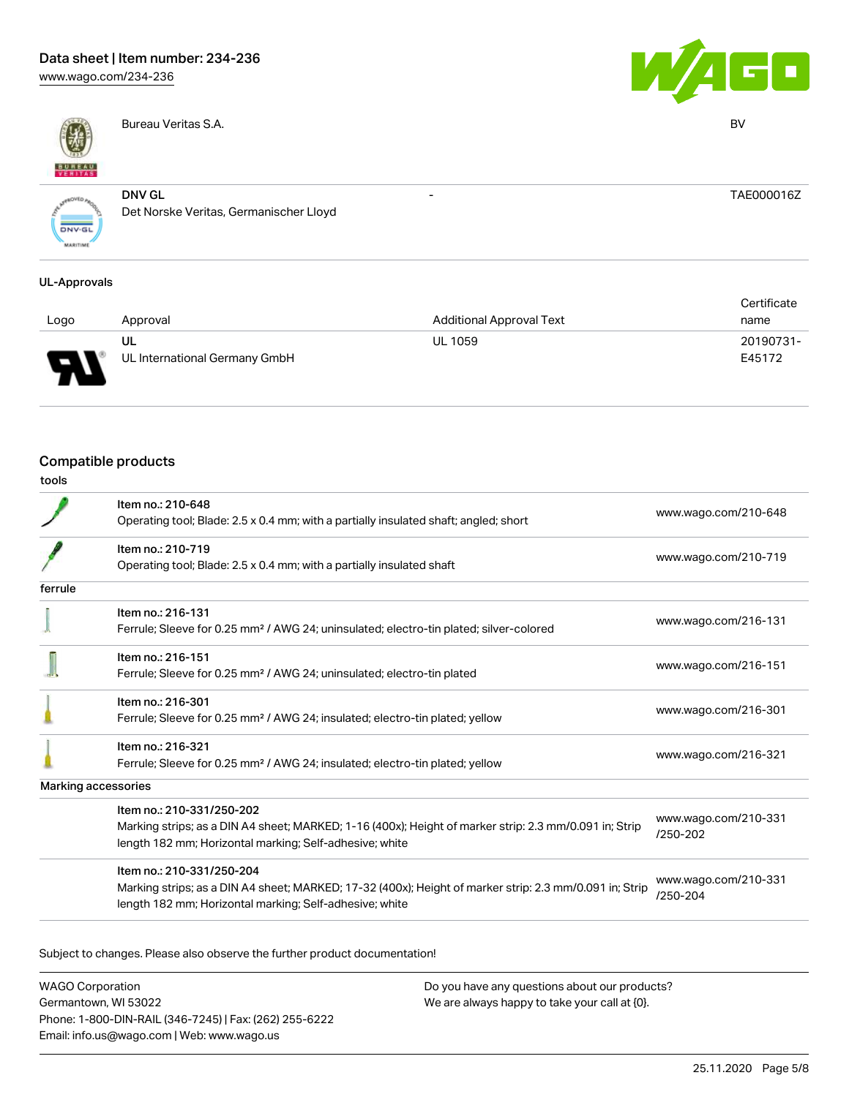# Data sheet | Item number: 234-236

[www.wago.com/234-236](http://www.wago.com/234-236)



Bureau Veritas S.A. BV



- TAE000016Z

**DNV-GL** 

DNV GL Det Norske Veritas, Germanischer Lloyd

#### UL-Approvals

|      |                               |                                 | Certificate |
|------|-------------------------------|---------------------------------|-------------|
| Logo | Approval                      | <b>Additional Approval Text</b> | name        |
|      | UL                            | <b>UL 1059</b>                  | 20190731-   |
| o    | UL International Germany GmbH |                                 | E45172      |

## Compatible products

| I<br>۰.<br>. .<br>v<br>.,<br>v<br>.,<br>۰. |
|--------------------------------------------|
|--------------------------------------------|

|         | Item no.: 210-648                                                                                       | www.wago.com/210-648             |  |
|---------|---------------------------------------------------------------------------------------------------------|----------------------------------|--|
|         | Operating tool; Blade: 2.5 x 0.4 mm; with a partially insulated shaft; angled; short                    |                                  |  |
|         | Item no.: 210-719                                                                                       | www.wago.com/210-719             |  |
|         | Operating tool; Blade: 2.5 x 0.4 mm; with a partially insulated shaft                                   |                                  |  |
| ferrule |                                                                                                         |                                  |  |
|         | Item no.: 216-131                                                                                       |                                  |  |
|         | Ferrule; Sleeve for 0.25 mm <sup>2</sup> / AWG 24; uninsulated; electro-tin plated; silver-colored      | www.wago.com/216-131             |  |
|         | Item no.: 216-151                                                                                       |                                  |  |
|         | Ferrule; Sleeve for 0.25 mm <sup>2</sup> / AWG 24; uninsulated; electro-tin plated                      | www.wago.com/216-151             |  |
|         | Item no.: 216-301                                                                                       |                                  |  |
|         | Ferrule; Sleeve for 0.25 mm <sup>2</sup> / AWG 24; insulated; electro-tin plated; yellow                | www.wago.com/216-301             |  |
|         | Item no.: 216-321                                                                                       |                                  |  |
|         | Ferrule; Sleeve for 0.25 mm <sup>2</sup> / AWG 24; insulated; electro-tin plated; yellow                | www.wago.com/216-321             |  |
|         | Marking accessories                                                                                     |                                  |  |
|         | Item no.: 210-331/250-202                                                                               | www.wago.com/210-331             |  |
|         | Marking strips; as a DIN A4 sheet; MARKED; 1-16 (400x); Height of marker strip: 2.3 mm/0.091 in; Strip  | /250-202                         |  |
|         | length 182 mm; Horizontal marking; Self-adhesive; white                                                 |                                  |  |
|         | Item no.: 210-331/250-204                                                                               |                                  |  |
|         | Marking strips; as a DIN A4 sheet; MARKED; 17-32 (400x); Height of marker strip: 2.3 mm/0.091 in; Strip | www.wago.com/210-331<br>/250-204 |  |
|         | length 182 mm; Horizontal marking; Self-adhesive; white                                                 |                                  |  |
|         |                                                                                                         |                                  |  |

Subject to changes. Please also observe the further product documentation!

WAGO Corporation Germantown, WI 53022 Phone: 1-800-DIN-RAIL (346-7245) | Fax: (262) 255-6222 Email: info.us@wago.com | Web: www.wago.us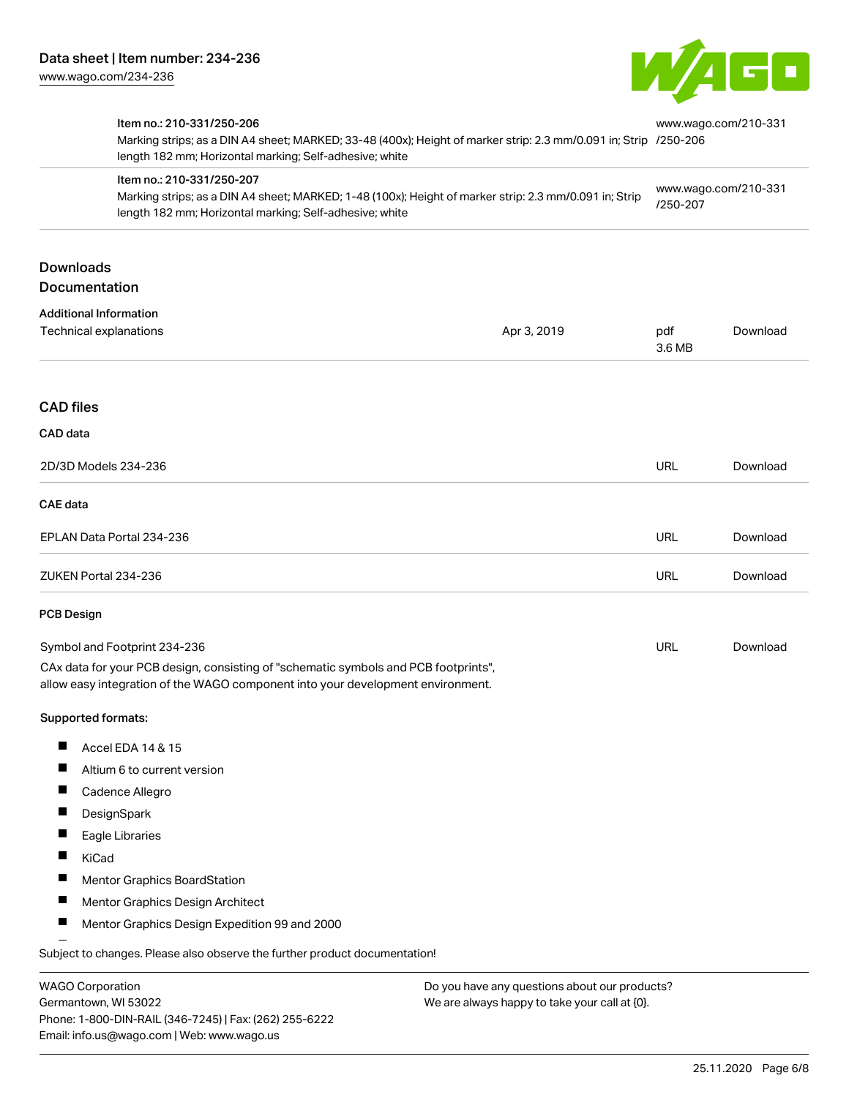Germantown, WI 53022

Phone: 1-800-DIN-RAIL (346-7245) | Fax: (262) 255-6222

Email: info.us@wago.com | Web: www.wago.us



| Item no.: 210-331/250-206<br>length 182 mm; Horizontal marking; Self-adhesive; white                                                                                   | Marking strips; as a DIN A4 sheet; MARKED; 33-48 (400x); Height of marker strip: 2.3 mm/0.091 in; Strip /250-206<br>Item no.: 210-331/250-207<br>Marking strips; as a DIN A4 sheet; MARKED; 1-48 (100x); Height of marker strip: 2.3 mm/0.091 in; Strip<br>length 182 mm; Horizontal marking; Self-adhesive; white |               | www.wago.com/210-331<br>www.wago.com/210-331<br>/250-207 |  |
|------------------------------------------------------------------------------------------------------------------------------------------------------------------------|--------------------------------------------------------------------------------------------------------------------------------------------------------------------------------------------------------------------------------------------------------------------------------------------------------------------|---------------|----------------------------------------------------------|--|
|                                                                                                                                                                        |                                                                                                                                                                                                                                                                                                                    |               |                                                          |  |
| <b>Downloads</b><br>Documentation                                                                                                                                      |                                                                                                                                                                                                                                                                                                                    |               |                                                          |  |
| <b>Additional Information</b><br>Technical explanations                                                                                                                | Apr 3, 2019                                                                                                                                                                                                                                                                                                        | pdf<br>3.6 MB | Download                                                 |  |
| <b>CAD files</b>                                                                                                                                                       |                                                                                                                                                                                                                                                                                                                    |               |                                                          |  |
| CAD data                                                                                                                                                               |                                                                                                                                                                                                                                                                                                                    |               |                                                          |  |
| 2D/3D Models 234-236                                                                                                                                                   |                                                                                                                                                                                                                                                                                                                    | <b>URL</b>    | Download                                                 |  |
| <b>CAE data</b>                                                                                                                                                        |                                                                                                                                                                                                                                                                                                                    |               |                                                          |  |
| EPLAN Data Portal 234-236                                                                                                                                              |                                                                                                                                                                                                                                                                                                                    | URL           | Download                                                 |  |
| ZUKEN Portal 234-236                                                                                                                                                   |                                                                                                                                                                                                                                                                                                                    | <b>URL</b>    | Download                                                 |  |
| <b>PCB Design</b>                                                                                                                                                      |                                                                                                                                                                                                                                                                                                                    |               |                                                          |  |
| Symbol and Footprint 234-236                                                                                                                                           |                                                                                                                                                                                                                                                                                                                    | <b>URL</b>    | Download                                                 |  |
| CAx data for your PCB design, consisting of "schematic symbols and PCB footprints",<br>allow easy integration of the WAGO component into your development environment. |                                                                                                                                                                                                                                                                                                                    |               |                                                          |  |
| Supported formats:                                                                                                                                                     |                                                                                                                                                                                                                                                                                                                    |               |                                                          |  |
| Accel EDA 14 & 15                                                                                                                                                      |                                                                                                                                                                                                                                                                                                                    |               |                                                          |  |
| Altium 6 to current version                                                                                                                                            |                                                                                                                                                                                                                                                                                                                    |               |                                                          |  |
| п<br>Cadence Allegro                                                                                                                                                   |                                                                                                                                                                                                                                                                                                                    |               |                                                          |  |
| DesignSpark                                                                                                                                                            |                                                                                                                                                                                                                                                                                                                    |               |                                                          |  |
| Eagle Libraries                                                                                                                                                        |                                                                                                                                                                                                                                                                                                                    |               |                                                          |  |
| KiCad                                                                                                                                                                  |                                                                                                                                                                                                                                                                                                                    |               |                                                          |  |
| Mentor Graphics BoardStation                                                                                                                                           |                                                                                                                                                                                                                                                                                                                    |               |                                                          |  |
| Mentor Graphics Design Architect                                                                                                                                       |                                                                                                                                                                                                                                                                                                                    |               |                                                          |  |
| Mentor Graphics Design Expedition 99 and 2000                                                                                                                          |                                                                                                                                                                                                                                                                                                                    |               |                                                          |  |
| Subject to changes. Please also observe the further product documentation!                                                                                             |                                                                                                                                                                                                                                                                                                                    |               |                                                          |  |
| <b>WAGO Corporation</b><br>Do you have any questions about our products?                                                                                               |                                                                                                                                                                                                                                                                                                                    |               |                                                          |  |

We are always happy to take your call at {0}.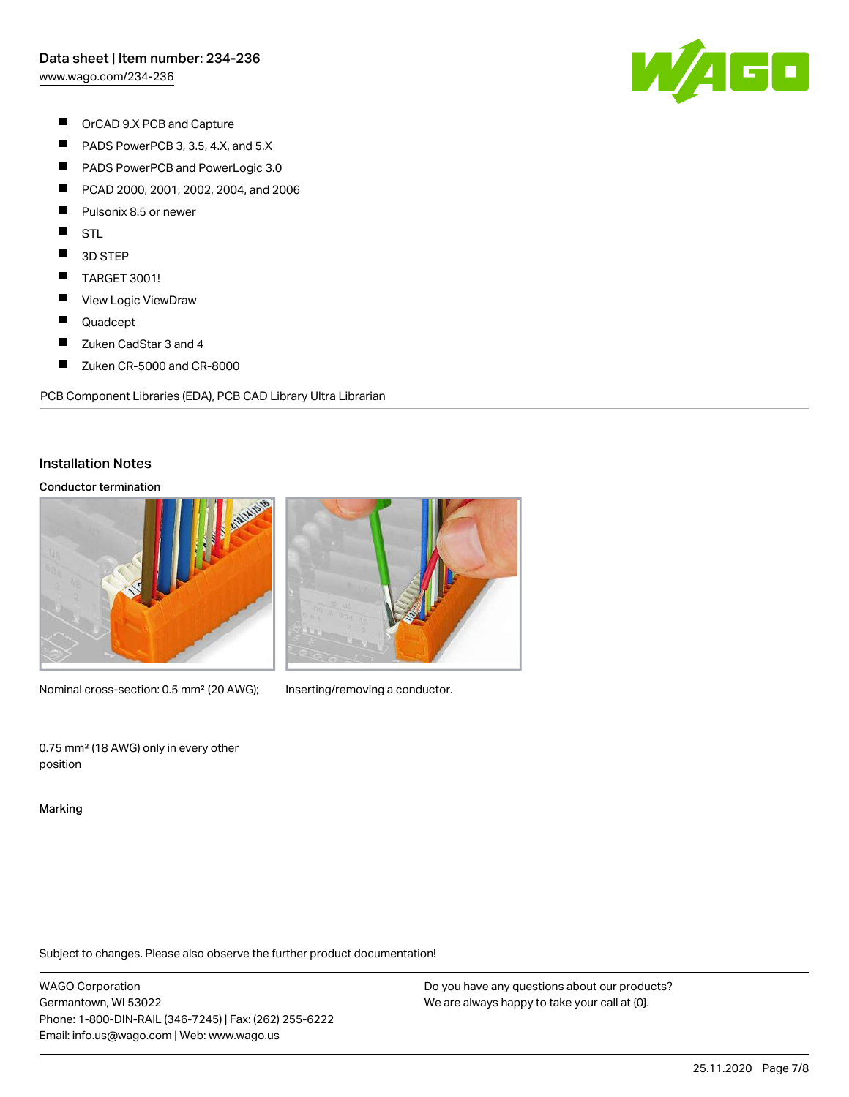[www.wago.com/234-236](http://www.wago.com/234-236)

W/AGO

- $\blacksquare$ OrCAD 9.X PCB and Capture
- $\blacksquare$ PADS PowerPCB 3, 3.5, 4.X, and 5.X
- $\blacksquare$ PADS PowerPCB and PowerLogic 3.0
- $\blacksquare$ PCAD 2000, 2001, 2002, 2004, and 2006
- $\blacksquare$ Pulsonix 8.5 or newer
- $\blacksquare$ **STL**
- $\blacksquare$ 3D STEP
- $\blacksquare$ TARGET 3001!
- $\blacksquare$ View Logic ViewDraw
- $\blacksquare$ Quadcept
- $\blacksquare$ Zuken CadStar 3 and 4
- $\blacksquare$ Zuken CR-5000 and CR-8000

PCB Component Libraries (EDA), PCB CAD Library Ultra Librarian

#### Installation Notes

#### Conductor termination



Nominal cross-section: 0.5 mm<sup>2</sup> (20 AWG); Inserting/removing a conductor.



0.75 mm² (18 AWG) only in every other position

Marking

Subject to changes. Please also observe the further product documentation!

WAGO Corporation Germantown, WI 53022 Phone: 1-800-DIN-RAIL (346-7245) | Fax: (262) 255-6222 Email: info.us@wago.com | Web: www.wago.us